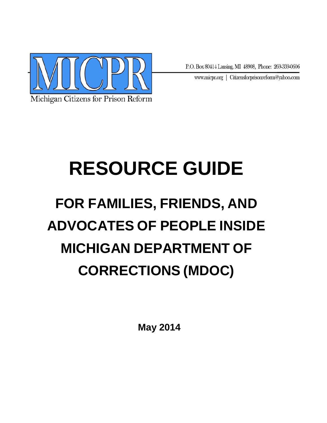

P.O. Box 80414 Lansing, MI 48908, Phone: 269-339-0606

www.micpr.org | Citizensforprisonreform@yahoo.com

# **RESOURCE GUIDE**

# **FOR FAMILIES, FRIENDS, AND ADVOCATES OF PEOPLE INSIDE MICHIGAN DEPARTMENT OF CORRECTIONS (MDOC)**

**May 2014**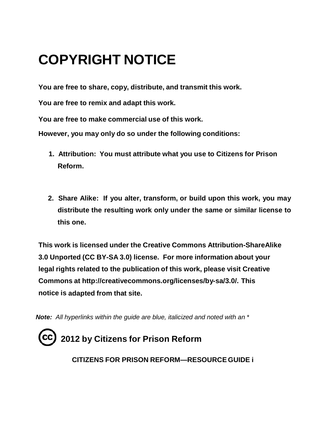## **COPYRIGHT NOTICE**

**You are free to share, copy, distribute, and transmit this work.** 

**You are free to remix and adapt this work.**

**You are free to make commercial use of this work.**

**However, you may only do so under the following conditions:**

- **1. Attribution: You must attribute what you use to Citizens for Prison Reform.**
- **2. Share Alike: If you alter, transform, or build upon this work, you may distribute the resulting work only under the same or similar license to this one.**

**This work is licensed under the Creative Commons Attribution-ShareAlike 3.0 Unported (CC BY-SA 3.0) license. For more information about your legal rights related to the publication of this work, please visit Creative Commons at http:/[/creativecommons.org/licenses/by-sa/3.0](http://creativecommons.org/licenses/by-sa/3.0/)/. This notice is adapted from that site.**

*Note: All hyperlinks within the guide are blue, italicized and noted with an* \*

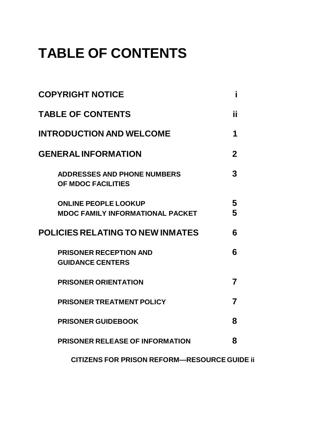## **TABLE OF CONTENTS**

| <b>COPYRIGHT NOTICE</b>                                                | i              |  |
|------------------------------------------------------------------------|----------------|--|
| <b>TABLE OF CONTENTS</b>                                               | Ϊİ             |  |
| <b>INTRODUCTION AND WELCOME</b>                                        | 1              |  |
| <b>GENERAL INFORMATION</b>                                             | $\overline{2}$ |  |
| <b>ADDRESSES AND PHONE NUMBERS</b><br>OF MDOC FACILITIES               | 3              |  |
| <b>ONLINE PEOPLE LOOKUP</b><br><b>MDOC FAMILY INFORMATIONAL PACKET</b> | 5<br>5         |  |
| <b>POLICIES RELATING TO NEW INMATES</b>                                | 6              |  |
| <b>PRISONER RECEPTION AND</b><br><b>GUIDANCE CENTERS</b>               | 6              |  |
| <b>PRISONER ORIENTATION</b>                                            | $\overline{7}$ |  |
| <b>PRISONER TREATMENT POLICY</b>                                       | $\overline{7}$ |  |
| <b>PRISONER GUIDEBOOK</b>                                              | 8              |  |
| <b>PRISONER RELEASE OF INFORMATION</b>                                 | 8              |  |
| <b>CITIZENS FOR PRISON REFORM-RESOURCE GUIDE II</b>                    |                |  |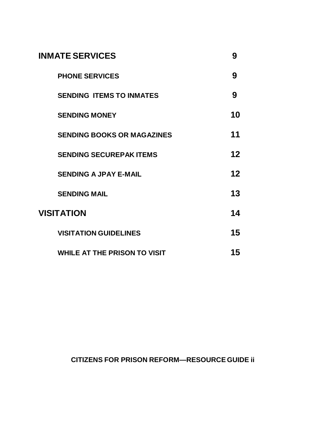| <b>INMATE SERVICES</b>              | 9                 |
|-------------------------------------|-------------------|
| <b>PHONE SERVICES</b>               | 9                 |
| <b>SENDING ITEMS TO INMATES</b>     | 9                 |
| <b>SENDING MONEY</b>                | 10                |
| <b>SENDING BOOKS OR MAGAZINES</b>   | 11                |
| <b>SENDING SECUREPAK ITEMS</b>      | 12                |
| <b>SENDING A JPAY E-MAIL</b>        | $12 \overline{ }$ |
| <b>SENDING MAIL</b>                 | 13                |
| <b>VISITATION</b>                   | 14                |
| <b>VISITATION GUIDELINES</b>        | 15                |
| <b>WHILE AT THE PRISON TO VISIT</b> | 15                |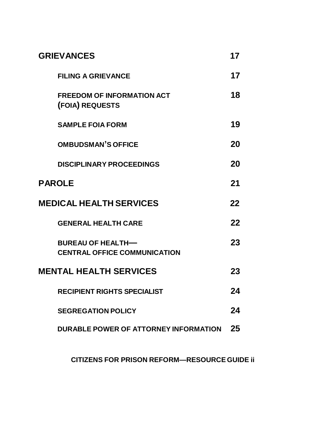| <b>GRIEVANCES</b>                                               | 17 |
|-----------------------------------------------------------------|----|
| <b>FILING A GRIEVANCE</b>                                       | 17 |
| <b>FREEDOM OF INFORMATION ACT</b><br>(FOIA) REQUESTS            | 18 |
| <b>SAMPLE FOIA FORM</b>                                         | 19 |
| <b>OMBUDSMAN'S OFFICE</b>                                       | 20 |
| <b>DISCIPLINARY PROCEEDINGS</b>                                 | 20 |
| <b>PAROLE</b>                                                   | 21 |
| <b>MEDICAL HEALTH SERVICES</b>                                  | 22 |
| <b>GENERAL HEALTH CARE</b>                                      | 22 |
| <b>BUREAU OF HEALTH-</b><br><b>CENTRAL OFFICE COMMUNICATION</b> | 23 |
| <b>MENTAL HEALTH SERVICES</b>                                   | 23 |
| <b>RECIPIENT RIGHTS SPECIALIST</b>                              | 24 |
| <b>SEGREGATION POLICY</b>                                       | 24 |
| DURABLE POWER OF ATTORNEY INFORMATION                           | 25 |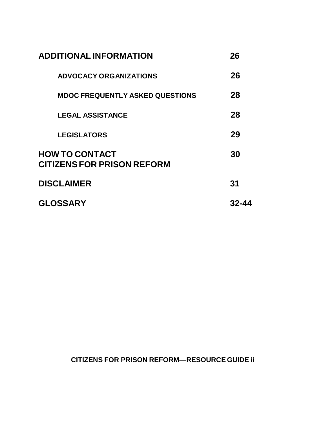| <b>ADDITIONAL INFORMATION</b>                              | 26    |
|------------------------------------------------------------|-------|
| <b>ADVOCACY ORGANIZATIONS</b>                              | 26    |
| <b>MDOC FREQUENTLY ASKED QUESTIONS</b>                     | 28    |
| <b>LEGAL ASSISTANCE</b>                                    | 28    |
| <b>LEGISLATORS</b>                                         | 29    |
| <b>HOW TO CONTACT</b><br><b>CITIZENS FOR PRISON REFORM</b> | 30    |
| <b>DISCLAIMER</b>                                          | 31    |
| <b>GLOSSARY</b>                                            | 32-44 |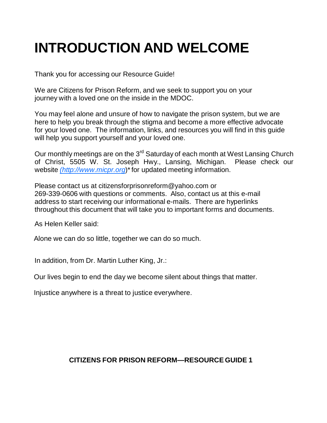## **INTRODUCTION AND WELCOME**

Thank you for accessing our Resource Guide!

We are Citizens for Prison Reform, and we seek to support you on your journey with a loved one on the inside in the MDOC.

You may feel alone and unsure of how to navigate the prison system, but we are here to help you break through the stigma and become a more effective advocate for your loved one. The information, links, and resources you will find in this guide will help you support yourself and your loved one.

Our monthly meetings are on the 3<sup>rd</sup> Saturday of each month at West Lansing Church of Christ, 5505 W. St. Joseph Hwy., Lansing, Michigan. Please check our website *[\(http://www.micpr.org](http://www.micpr.org/)*)\* for updated meeting information.

Please contact us at [citizensforprisonreform@yahoo.com](mailto:citizensforprisonreform@yahoo.com) or 269-339-0606 with questions or comments. Also, contact us at this e-mail address to start receiving our informational e-mails. There are hyperlinks throughout this document that will take you to important forms and documents.

As Helen Keller said:

Alone we can do so little, together we can do so much.

In addition, from Dr. Martin Luther King, Jr.:

Our lives begin to end the day we become silent about things that matter.

Injustice anywhere is a threat to justice everywhere.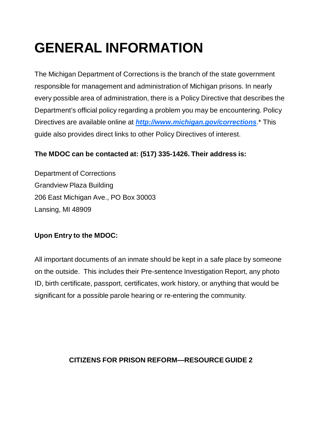## **GENERAL INFORMATION**

The Michigan Department of Corrections is the branch of the state government responsible for management and administration of Michigan prisons. In nearly every possible area of administration, there is a Policy Directive that describes the Department's official policy regarding a problem you may be encountering. Policy Directives are available online at *http:/[/www.michigan.gov/corrections](http://www.michigan.gov/corrections)*.\* This guide also provides direct links to other Policy Directives of interest.

## **The MDOC can be contacted at: (517) 335-1426. Their address is:**

Department of Corrections Grandview Plaza Building 206 East Michigan Ave., PO Box 30003 Lansing, MI 48909

## **Upon Entry to the MDOC:**

All important documents of an inmate should be kept in a safe place by someone on the outside. This includes their Pre-sentence Investigation Report, any photo ID, birth certificate, passport, certificates, work history, or anything that would be significant for a possible parole hearing or re-entering the community.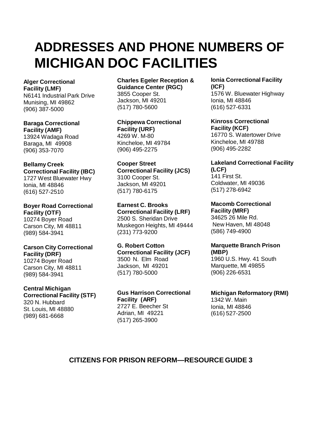## **ADDRESSES AND PHONE NUMBERS OF MICHIGAN DOC FACILITIES**

#### **Alger Correctional Facility (LMF)**

N6141 Industrial Park Drive Munising, MI 49862 (906) 387-5000

**Baraga Correctional Facility (AMF)** 13924 Wadaga Road Baraga, MI 49908 (906) 353-7070

**Bellamy Creek Correctional Facility (IBC)** 1727 West Bluewater Hwy Ionia, MI 48846 (616) 527-2510

**Boyer Road Correctional Facility (OTF)** 10274 Boyer Road Carson City, MI 48811 (989) 584-3941

**Carson City Correctional Facility (DRF)** 10274 Boyer Road Carson City, MI 48811 (989) 584-3941

#### **Central Michigan Correctional Facility (STF)**

320 N. Hubbard St. Louis, MI 48880 (989) 681-6668

**Charles Egeler Reception & Guidance Center (RGC)** 3855 Cooper St. Jackson, MI 49201 (517) 780-5600

**Chippewa Correctional Facility (URF)** 4269 W. M-80 Kincheloe, MI 49784 (906) 495-2275

**Cooper Street Correctional Facility (JCS)** 3100 Cooper St. Jackson, MI 49201 (517) 780-6175

**Earnest C. Brooks Correctional Facility (LRF)** 2500 S. Sheridan Drive Muskegon Heights, MI 49444 (231) 773-9200

**G. Robert Cotton Correctional Facility (JCF)** 3500 N. Elm Road Jackson, MI 49201 (517) 780-5000

**Gus Harrison Correctional Facility (ARF)** 2727 E. Beecher St Adrian, MI 49221 (517) 265-3900

**Ionia Correctional Facility (ICF)** 1576 W. Bluewater Highway Ionia, MI 48846 (616) 527-6331

**Kinross Correctional Facility (KCF)** 16770 S. Watertower Drive Kincheloe, MI 49788 (906) 495-2282

#### **Lakeland Correctional Facility (LCF)**

141 First St. Coldwater, MI 49036 (517) 278-6942

**Macomb Correctional Facility (MRF)** 34625 26 Mile Rd. New Haven, MI 48048 (586) 749-4900

**Marquette Branch Prison (MBP)** 1960 U.S. Hwy. 41 South Marquette, MI 49855 (906) 226-6531

## **Michigan Reformatory (RMI)**

1342 W. Main Ionia, MI 48846 (616) 527-2500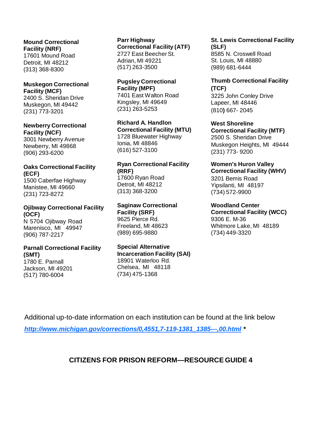**Mound Correctional Facility (NRF)** 17601 Mound Road Detroit, MI 48212 (313) 368-8300

#### **Muskegon Correctional Facility (MCF)**

2400 S. Sheridan Drive Muskegon, MI 49442 (231) 773-3201

### **Newberry Correctional Facility (NCF)**

3001 Newberry Avenue Newberry, MI 49868 (906) 293-6200

### **Oaks Correctional Facility (ECF)**

1500 Caberfae Highway Manistee, MI 49660 (231) 723-8272

#### **Ojibway Correctional Facility (OCF)** N 5704 Ojibway Road

Marenisco, MI 49947 (906) 787-2217

#### **Parnall Correctional Facility (SMT)**

1780 E. Parnall Jackson, MI 49201 (517) 780-6004

#### **Parr Highway Correctional Facility (ATF)** 2727 East Beecher St. Adrian, MI 49221 (517) 263-3500

#### **Pugsley Correctional Facility (MPF)** 7401 East Walton Road Kingsley, MI 49649 (231) 263-5253

**Richard A. Handlon Correctional Facility (MTU)** 1728 Bluewater Highway Ionia, MI 48846 (616) 527-3100

#### **Ryan Correctional Facility (RRF)** 17600 Ryan Road

Detroit, MI 48212 (313) 368-3200

#### **Saginaw Correctional Facility (SRF)** 9625 Pierce Rd.

Freeland, MI 48623 (989) 695-9880

#### **Special Alternative Incarceration Facility (SAI)**

18901 Waterloo Rd. Chelsea, MI 48118 (734) 475-1368

#### **St. Lewis Correctional Facility (SLF)** 8585 N. Croswell Road

St. Louis, MI 48880 (989) 681-6444

#### **Thumb Correctional Facility (TCF)** 3225 John Conley Drive

Lapeer, MI 48446 (810**)** 667- 2045

#### **West Shoreline Correctional Facility (MTF)** 2500 S. Sheridan Drive Muskegon Heights, MI 49444 (231) 773- 9200

#### **Women's Huron Valley Correctional Facility (WHV)** 3201 Bemis Road Yipsilanti, MI 48197

(734) 572-9900

#### **Woodland Center Correctional Facility (WCC)**

9306 E. M-36 Whitmore Lake, MI 48189 (734) 449-3320

Additional up-to-date information on each institution can be found at the link below *[http://www.michigan.gov/corrections/0,4551,7-119-1381\\_1385---,00.html](http://www.michigan.gov/corrections/0%2C4551%2C7-119-1381_1385---%2C00.html) \**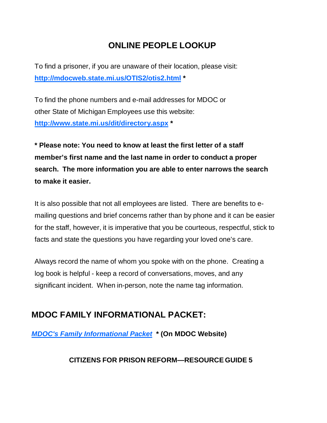## **ONLINE PEOPLE LOOKUP**

To find a prisoner, if you are unaware of their location, please visit: **<http://mdocweb.state.mi.us/OTIS2/otis2.html> \***

To find the phone numbers and e-mail addresses for MDOC or other State of Michigan Employees use this website: **<http://www.state.mi.us/dit/directory.aspx> \***

**\* Please note: You need to know at least the first letter of a staff member's first name and the last name in order to conduct a proper search. The more information you are able to enter narrows the search to make it easier.**

It is also possible that not all employees are listed. There are benefits to emailing questions and brief concerns rather than by phone and it can be easier for the staff, however, it is imperative that you be courteous, respectful, stick to facts and state the questions you have regarding your loved one's care.

Always record the name of whom you spoke with on the phone. Creating a log book is helpful - keep a record of conversations, moves, and any significant incident. When in-person, note the name tag information.

## **MDOC FAMILY INFORMATIONAL PACKET:**

*[MDOC's Family Informational Packet](http://www.michigan.gov/corrections/0,4551,7-119-1381_63694---,00.html)* **\* (On MDOC Website)**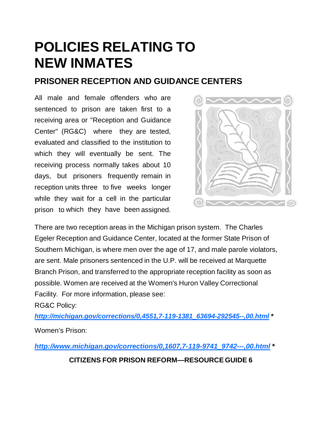## **POLICIES RELATING TO NEW INMATES**

## **PRISONER RECEPTION AND GUIDANCE CENTERS**

All male and female offenders who are sentenced to prison are taken first to a receiving area or "Reception and Guidance Center" (RG&C) where they are tested, evaluated and classified to the institution to which they will eventually be sent. The receiving process normally takes about 10 days, but prisoners frequently remain in reception units three to five weeks longer while they wait for a cell in the particular prison to which they have been assigned.



There are two reception areas in the Michigan prison system. The Charles Egeler Reception and Guidance Center, located at the former State Prison of Southern Michigan, is where men over the age of 17, and male parole violators, are sent. Male prisoners sentenced in the U.P. will be received at Marquette Branch Prison, and transferred to the appropriate reception facility as soon as possible. Women are received at the Women's Huron Valley Correctional Facility. For more information, please see:

RG&C Policy:

*[http://michigan.gov/corrections/0,4551,7-119-1381\\_63694-292545--,00.html](http://michigan.gov/corrections/0,4551,7-119-1381_63694-292545--,00.html)* **\*** Women's Prison:

*[http://www.michigan.gov/corrections/0,1607,7-119-9741\\_9742---,00.html](http://www.michigan.gov/corrections/0%2C1607%2C7-119-9741_9742---%2C00.html)* **\***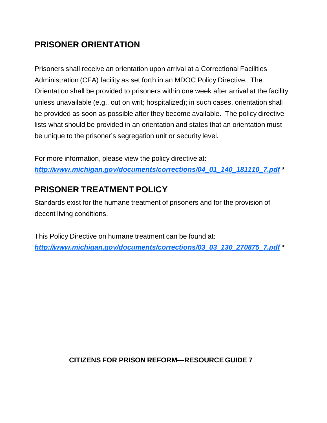## **PRISONER ORIENTATION**

Prisoners shall receive an orientation upon arrival at a Correctional Facilities Administration (CFA) facility as set forth in an MDOC Policy Directive. The Orientation shall be provided to prisoners within one week after arrival at the facility unless unavailable (e.g., out on writ; hospitalized); in such cases, orientation shall be provided as soon as possible after they become available. The policy directive lists what should be provided in an orientation and states that an orientation must be unique to the prisoner's segregation unit or security level.

For more information, please view the policy directive at: *[http://www.michigan.gov/documents/corrections/04\\_01\\_140\\_181110\\_7.pdf](http://www.michigan.gov/documents/corrections/04_01_140_181110_7.pdf)* **\***

## **PRISONER TREATMENT POLICY**

Standards exist for the humane treatment of prisoners and for the provision of decent living conditions.

This Policy Directive on humane treatment can be found at: *[http://www.michigan.gov/documents/corrections/03\\_03\\_130\\_270875\\_7.pdf](http://www.michigan.gov/documents/corrections/03_03_130_270875_7.pdf)* **\***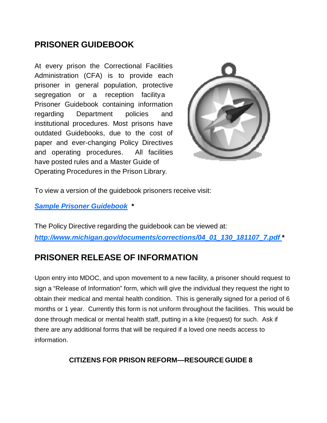## **PRISONER GUIDEBOOK**

At every prison the Correctional Facilities Administration (CFA) is to provide each prisoner in general population, protective segregation or a reception facilitya Prisoner Guidebook containing information regarding Department policies and institutional procedures. Most prisons have outdated Guidebooks, due to the cost of paper and ever-changing Policy Directives and operating procedures. All facilities have posted rules and a Master Guide of Operating Procedures in the Prison Library.



To view a version of the guidebook prisoners receive visit:

*[Sample Prisoner Guidebook](http://www.micpr.org/uploads/8/9/7/1/8971956/sample_prisoner_handbook.pdf)* **\***

The Policy Directive regarding the guidebook can be viewed at: *[http://www.michigan.gov/documents/corrections/04\\_01\\_130\\_181107\\_7.pdf](http://www.michigan.gov/documents/corrections/04_01_130_181107_7.pdf)* **\***

## **PRISONER RELEASE OF INFORMATION**

Upon entry into MDOC, and upon movement to a new facility, a prisoner should request to sign a "Release of Information" form, which will give the individual they request the right to obtain their medical and mental health condition. This is generally signed for a period of 6 months or 1 year. Currently this form is not uniform throughout the facilities. This would be done through medical or mental health staff, putting in a kite (request) for such. Ask if there are any additional forms that will be required if a loved one needs access to information.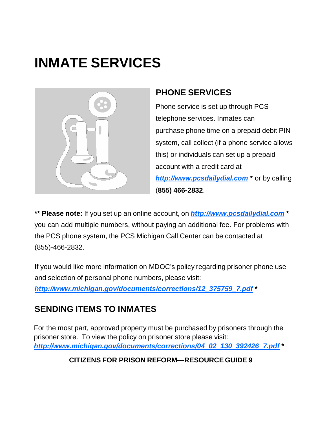## **INMATE SERVICES**



## **PHONE SERVICES**

Phone service is set up through PCS telephone services. Inmates can purchase phone time on a prepaid debit PIN system, call collect (if a phone service allows this) or individuals can set up a prepaid account with a credit card at *http:/[/www.pcsdailydial.com](http://www.pcsdailydial.com/)* **\*** or by calling (**855) 466-2832**.

**\*\* Please note:** If you set up an online account, on *http[://www.pcsdailydial.com](http://www.pcsdailydial.com/)* **\*** you can add multiple numbers, without paying an additional fee. For problems with the PCS phone system, the PCS Michigan Call Center can be contacted at (855)-466-2832.

If you would like more information on MDOC's policy regarding prisoner phone use and selection of personal phone numbers, please visit:

*[http://www.michigan.gov/documents/corrections/12\\_375759\\_7.pdf](http://www.michigan.gov/documents/corrections/12_375759_7.pdf)* **\***

## **SENDING ITEMS TO INMATES**

For the most part, approved property must be purchased by prisoners through the prisoner store. To view the policy on prisoner store please visit: *[http://www.michigan.gov/documents/corrections/04\\_02\\_130\\_392426\\_7.pdf](http://www.michigan.gov/documents/corrections/04_02_130_392426_7.pdf)* **\***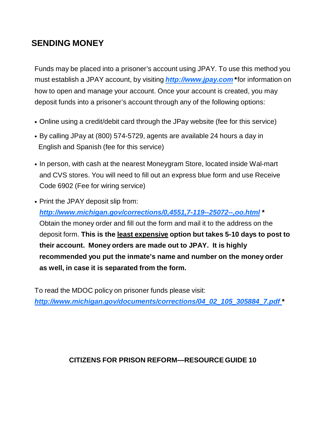## **SENDING MONEY**

Funds may be placed into a prisoner's account using JPAY. To use this method you must establish a JPAY account, by visiting *http:/[/www.jpay.com](http://www.jpay.com/)* **\*** for information on how to open and manage your account. Once your account is created, you may deposit funds into a prisoner's account through any of the following options:

- Online using a credit/debit card through the JPay website (fee for this service)
- By calling JPay at (800) 574-5729, agents are available 24 hours a day in English and Spanish (fee for this service)
- In person, with cash at the nearest Moneygram Store, located inside Wal-mart and CVS stores. You will need to fill out an express blue form and use Receive Code 6902 (Fee for wiring service)
- Print the JPAY deposit slip from: *[http://www.michigan.gov/corrections/0,4551,7-119--25072--,oo.html](http://www.michigan.gov/corrections/0%2C4551%2C7-119--25072--%2Coo.html)* **\***  Obtain the money order and fill out the form and mail it to the address on the deposit form. **This is the least expensive option but takes 5-10 days to post to their account. Money orders are made out to JPAY. It is highly recommended you put the inmate's name and number on the money order as well, in case it is separated from the form.**

To read the MDOC policy on prisoner funds please visit: *[http://www.michigan.gov/documents/corrections/04\\_02\\_105\\_305884\\_7.pdf](http://www.michigan.gov/documents/corrections/04_02_105_305884_7.pdf)* **\***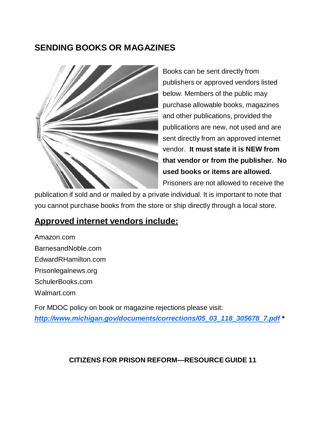## **SENDING BOOKS OR MAGAZINES**



Books can be sent directly from publishers or approved vendors listed below. Members of the public may purchase allowable books, magazines and other publications, provided the publications are new, not used and are sent directly from an approved internet vendor. **It must state it is NEW from that vendor or from the publisher. No used books or items are allowed.**  Prisoners are not allowed to receive the

publication if sold and or mailed by a private individual. It is important to note that you cannot purchase books from the store or ship directly through a local store.

## **Approved internet vendors include:**

Amazon.com BarnesandNoble.com EdwardRHamilton.com Prisonlegalnews.org SchulerBooks.com Walmart.com For MDOC policy on book or magazine rejections please visit:

*[http://www.michigan.gov/documents/corrections/05\\_03\\_118\\_305678\\_7.pdf](http://www.michigan.gov/documents/corrections/05_03_118_305678_7.pdf)* **\***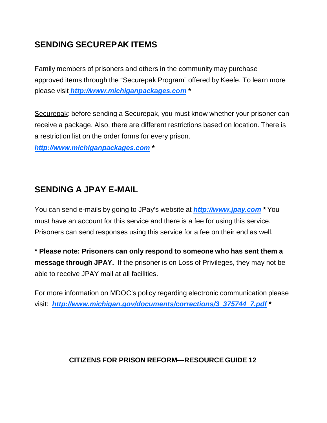## **SENDING SECUREPAK ITEMS**

Family members of prisoners and others in the community may purchase approved items through the "Securepak Program" offered by Keefe. To learn more please visit *http:/[/www.michiganpackages.com](http://www.michiganpackages.com/)* **\***

Securepak: before sending a Securepak, you must know whether your prisoner can receive a package. Also, there are different restrictions based on location. There is a restriction list on the order forms for every prison.

*http:/[/www.michiganpackages.com](http://www.michiganpackages.com/)* **\***

## **SENDING A JPAY E-MAIL**

You can send e-mails by going to JPay's website at *http[://www.jpay.com](http://www.jpay.com/)* **\*** You must have an account for this service and there is a fee for using this service. Prisoners can send responses using this service for a fee on their end as well.

**\* Please note: Prisoners can only respond to someone who has sent them a message through JPAY.** If the prisoner is on Loss of Privileges, they may not be able to receive JPAY mail at all facilities.

For more information on MDOC's policy regarding electronic communication please visit: *[http://www.michigan.gov/documents/corrections/3\\_375744\\_7.pdf](http://www.michigan.gov/documents/corrections/3_375744_7.pdf)* **\***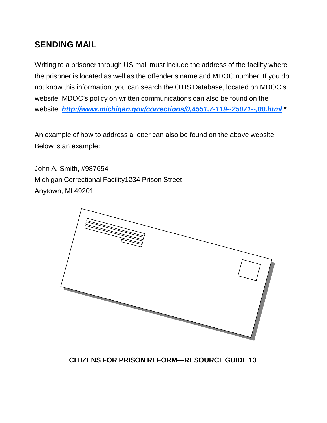## **SENDING MAIL**

Writing to a prisoner through US mail must include the address of the facility where the prisoner is located as well as the offender's name and MDOC number. If you do not know this information, you can search the OTIS Database, located on MDOC's website. MDOC's policy on written communications can also be found on the website: *[http://www.michigan.gov/corrections/0,4551,7-119--25071--,00.html](http://www.michigan.gov/corrections/0%2C4551%2C7-119--25071--%2C00.html)* **\***

An example of how to address a letter can also be found on the above website. Below is an example:

John A. Smith, #987654 Michigan Correctional Facility1234 Prison Street Anytown, MI 49201

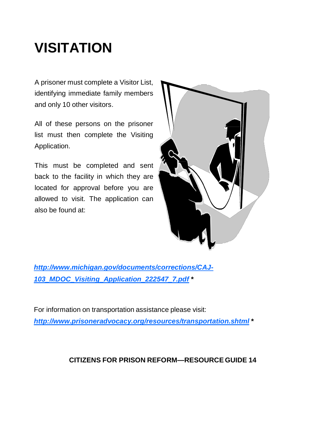## **VISITATION**

A prisoner must complete a Visitor List, identifying immediate family members and only 10 other visitors.

All of these persons on the prisoner list must then complete the Visiting Application.

This must be completed and sent back to the facility in which they are located for approval before you are allowed to visit. The application can also be found at:



*[http://www.michigan.gov/documents/corrections/CAJ-](http://www.michigan.gov/documents/corrections/CAJ-103_MDOC_Visiting_Application_222547_7.pdf)[103\\_MDOC\\_Visiting\\_Application\\_222547\\_7.pdf](http://www.michigan.gov/documents/corrections/CAJ-103_MDOC_Visiting_Application_222547_7.pdf)* **\***

For information on transportation assistance please visit: *<http://www.prisoneradvocacy.org/resources/transportation.shtml>* **\***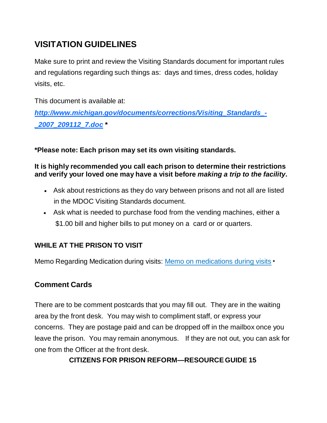## **VISITATION GUIDELINES**

Make sure to print and review the Visiting Standards document for important rules and regulations regarding such things as: days and times, dress codes, holiday visits, etc.

This document is available at:

*[http://www.michigan.gov/documents/corrections/Visiting\\_Standards\\_-](http://www.michigan.gov/documents/corrections/Visiting_Standards_-_2007_209112_7.doc) [\\_2007\\_209112\\_7.doc](http://www.michigan.gov/documents/corrections/Visiting_Standards_-_2007_209112_7.doc)* **\***

**\*Please note: Each prison may set its own visiting standards.**

#### **It is highly recommended you call each prison to determine their restrictions and verify your loved one may have a visit before** *making a trip to the facility***.**

- Ask about restrictions as they do vary between prisons and not all are listed in the MDOC Visiting Standards document.
- Ask what is needed to purchase food from the vending machines, either a \$1.00 bill and higher bills to put money on a card or or quarters.

## **WHILE AT THE PRISON TO VISIT**

Memo Regarding Medication during visits: Memo on medications during visits **\***

## **Comment Cards**

There are to be comment postcards that you may fill out. They are in the waiting area by the front desk. You may wish to compliment staff, or express your concerns. They are postage paid and can be dropped off in the mailbox once you leave the prison. You may remain anonymous. If they are not out, you can ask for one from the Officer at the front desk.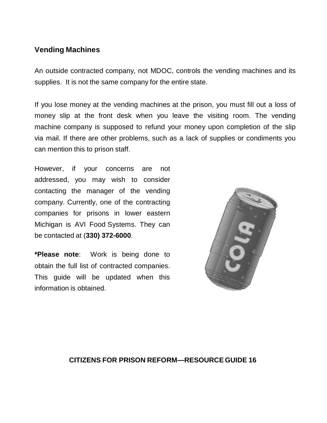## **Vending Machines**

An outside contracted company, not MDOC, controls the vending machines and its supplies. It is not the same company for the entire state.

If you lose money at the vending machines at the prison, you must fill out a loss of money slip at the front desk when you leave the visiting room. The vending machine company is supposed to refund your money upon completion of the slip via mail. If there are other problems, such as a lack of supplies or condiments you can mention this to prison staff.

However, if your concerns are not addressed, you may wish to consider contacting the manager of the vending company. Currently, one of the contracting companies for prisons in lower eastern Michigan is AVI Food Systems. They can be contacted at (**330) 372-6000**.

**\*Please note**: Work is being done to obtain the full list of contracted companies. This guide will be updated when this information is obtained.

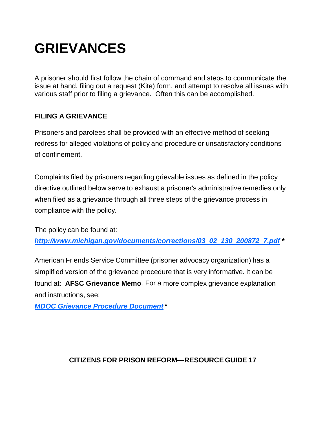## **GRIEVANCES**

A prisoner should first follow the chain of command and steps to communicate the issue at hand, filing out a request (Kite) form, and attempt to resolve all issues with various staff prior to filing a grievance. Often this can be accomplished.

### **FILING A GRIEVANCE**

Prisoners and parolees shall be provided with an effective method of seeking redress for alleged violations of policy and procedure or unsatisfactory conditions of confinement.

Complaints filed by prisoners regarding grievable issues as defined in the policy directive outlined below serve to exhaust a prisoner's administrative remedies only when filed as a grievance through all three steps of the grievance process in compliance with the policy.

The policy can be found at:

*[http://www.michigan.gov/documents/corrections/03\\_02\\_130\\_200872\\_7.pdf](http://www.michigan.gov/documents/corrections/03_02_130_200872_7.pdf)* **\***

American Friends Service Committee (prisoner advocacy organization) has a simplified version of the grievance procedure that is very informative. It can be found at: **AFSC Grievance Memo**. For a more complex grievance explanation and instructions, see:

*[MDOC Grievance Procedure Document](http://www.micpr.org/uploads/8/9/7/1/8971956/correct_complex_grievance_form.jpg)***\***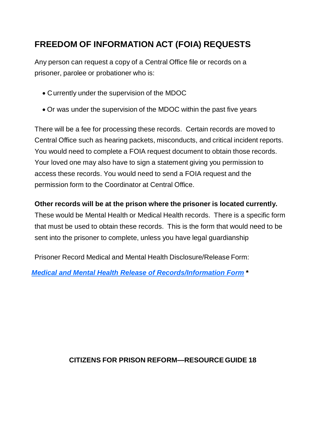## **FREEDOM OF INFORMATION ACT (FOIA) REQUESTS**

Any person can request a copy of a Central Office file or records on a prisoner, parolee or probationer who is:

- Currently under the supervision of the MDOC
- Or was under the supervision of the MDOC within the past five years

There will be a fee for processing these records. Certain records are moved to Central Office such as hearing packets, misconducts, and critical incident reports. You would need to complete a FOIA request document to obtain those records. Your loved one may also have to sign a statement giving you permission to access these records. You would need to send a FOIA request and the permission form to the Coordinator at Central Office.

## **Other records will be at the prison where the prisoner is located currently.**

These would be Mental Health or Medical Health records. There is a specific form that must be used to obtain these records. This is the form that would need to be sent into the prisoner to complete, unless you have legal guardianship

Prisoner Record Medical and Mental Health Disclosure/Release Form:

*[Medical and Mental Health Release of Records/Information Form](http://www.micpr.org/uploads/8/9/7/1/8971956/prisoner_medical_mental_health_release_fix.pdf)* **\***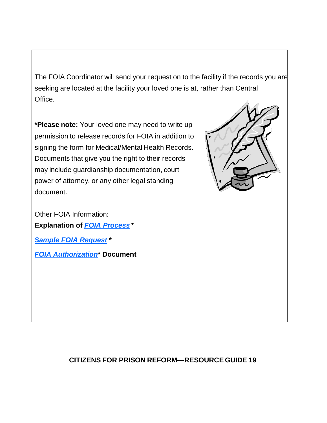The FOIA Coordinator will send your request on to the facility if the records you are seeking are located at the facility your loved one is at, rather than Central Office.

**\*Please note:** Your loved one may need to write up permission to release records for FOIA in addition to signing the form for Medical/Mental Health Records. Documents that give you the right to their records may include guardianship documentation, court power of attorney, or any other legal standing document.



Other FOIA Information: **Explanation of** *[FOIA Process](http://www.micpr.org/uploads/8/9/7/1/8971956/foia_introduction_letter.pdf)* **\*** *[Sample FOIA Request](http://www.micpr.org/uploads/8/9/7/1/8971956/foia_request.pdf)* **\*** *[FOIA Authorization](http://www.micpr.org/uploads/8/9/7/1/8971956/foia_authorization.pdf)***\* Document**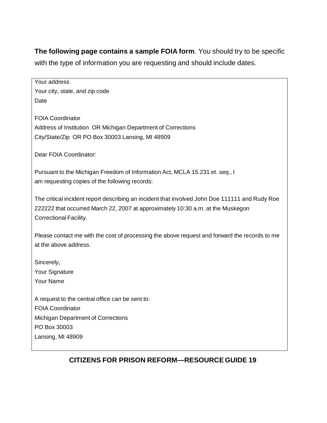**The following page contains a sample FOIA form**. You should try to be specific with the type of information you are requesting and should include dates.

Your address Your city, state, and zip code Date FOIA Coordinator Address of Institution OR Michigan Department of Corrections City/State/Zip OR PO Box 30003 Lansing, MI 48909 Dear FOIA Coordinator: Pursuant to the Michigan Freedom of Information Act, MCLA 15.231 et. seq., I am requesting copies of the following records: The critical incident report describing an incident that involved John Doe 111111 and Rudy Roe 222222 that occurred March 22, 2007 at approximately 10:30 a.m. at the Muskegon Correctional Facility. Please contact me with the cost of processing the above request and forward the records to me at the above address. Sincerely, Your Signature Your Name A request to the central office can be sent to: FOIA Coordinator Michigan Department of Corrections PO Box 30003 Lansing, MI 48909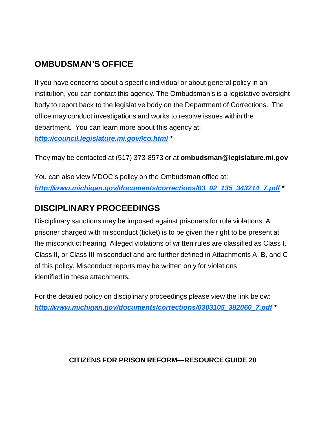## **OMBUDSMAN'S OFFICE**

If you have concerns about a specific individual or about general policy in an institution, you can contact this agency. The Ombudsman's is a legislative oversight body to report back to the legislative body on the Department of Corrections. The office may conduct investigations and works to resolve issues within the department. You can learn more about this agency at: *<http://council.legislature.mi.gov/lco.html>* **\***

They may be contacted at (517) 373-8573 or at **[ombudsman@legislature.mi.gov](mailto:ombudsman@legislature.mi.gov)**

You can also view MDOC's policy on the Ombudsman office at: *[http://www.michigan.gov/documents/corrections/03\\_02\\_135\\_343214\\_7.pdf](http://www.michigan.gov/documents/corrections/03_02_135_343214_7.pdf)* **\***

## **DISCIPLINARY PROCEEDINGS**

Disciplinary sanctions may be imposed against prisoners for rule violations. A prisoner charged with misconduct (ticket) is to be given the right to be present at the misconduct hearing. Alleged violations of written rules are classified as Class I, Class II, or Class III misconduct and are further defined in Attachments A, B, and C of this policy. Misconduct reports may be written only for violations identified in these attachments**.**

For the detailed policy on disciplinary proceedings please view the link below: *[http://www.michigan.gov/documents/corrections/0303105\\_382060\\_7.pdf](http://www.michigan.gov/documents/corrections/0303105_382060_7.pdf)* **\***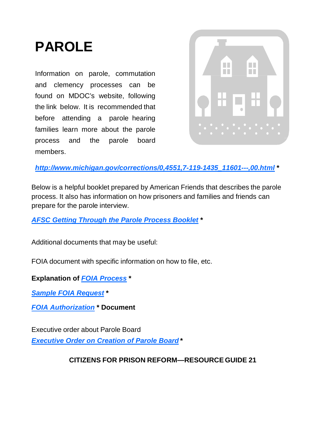## **PAROLE**

Information on parole, commutation and clemency processes can be found on MDOC's website, following the link below. It is recommended that before attending a parole hearing families learn more about the parole process and the parole board members.



*[http://www.michigan.gov/corrections/0,4551,7-119-1435\\_11601---,00.html](http://www.michigan.gov/corrections/0%2C4551%2C7-119-1435_11601---%2C00.html)* **\***

Below is a helpful booklet prepared by American Friends that describes the parole process. It also has information on how prisoners and families and friends can prepare for the parole interview.

*[AFSC Getting Through the Parole Process Booklet](http://www.micpr.org/uploads/8/9/7/1/8971956/parole_booklet_2012.pdf)* **\***

Additional documents that may be useful:

FOIA document with specific information on how to file, etc.

**Explanation of** *[FOIA Process](http://www.micpr.org/uploads/8/9/7/1/8971956/foia_introduction_letter.pdf)* **\***

*[Sample FOIA Request](http://www.micpr.org/uploads/8/9/7/1/8971956/foia_request.pdf)* **\***

*[FOIA Authorization](http://www.micpr.org/uploads/8/9/7/1/8971956/foia_authorization.pdf)* **\* Document**

Executive order about Parole Board *[Executive Order on Creation of Parole Board](http://www.weebly.com/uploads/8/9/7/1/8971956/executive_order_no._2011-3_creation_of_new_board.pdf)* **\***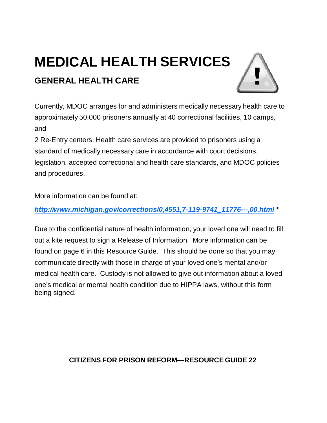## **MEDICAL HEALTH SERVICES GENERAL HEALTH CARE**



Currently, MDOC arranges for and administers medically necessary health care to approximately 50,000 prisoners annually at 40 correctional facilities, 10 camps, and

2 Re-Entry centers. Health care services are provided to prisoners using a standard of medically necessary care in accordance with court decisions, legislation, accepted correctional and health care standards, and MDOC policies and procedures.

More information can be found at:

*[http://www.michigan.gov/corrections/0,4551,7-119-9741\\_11776---,00.html](http://www.michigan.gov/corrections/0%2C4551%2C7-119-9741_11776---%2C00.html)* **\***

Due to the confidential nature of health information, your loved one will need to fill out a kite request to sign a Release of Information. More information can be found on page 6 in this Resource Guide. This should be done so that you may communicate directly with those in charge of your loved one's mental and/or medical health care. Custody is not allowed to give out information about a loved one's medical or mental health condition due to HIPPA laws, without this form being signed.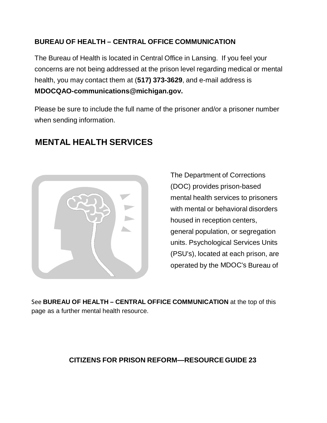## **BUREAU OF HEALTH – CENTRAL OFFICE COMMUNICATION**

The Bureau of Health is located in Central Office in Lansing. If you feel your concerns are not being addressed at the prison level regarding medical or mental health, you may contact them at (**517) 373-3629**, and e-mail address is **[MDOCQAO-communications@michigan.gov.](mailto:MDOCQAO-communications@michigan.gov)**

Please be sure to include the full name of the [prisoner](mailto:MDOCQAO-communications@michigan.gov) and/or a prisoner numbe[r](mailto:MDOCQAO-communications@michigan.gov) when sending [information.](mailto:MDOCQAO-communications@michigan.gov)



## **MENTAL HEALTH SERVICES**

The Department of Corrections (DOC) provides prison-based mental health services to prisoners with mental or behavioral disorders housed in reception centers, general population, or segregation units. Psychological Services Units (PSU's), located at each prison, are operated by the MDOC's Bureau of

See **BUREAU OF HEALTH – CENTRAL OFFICE COMMUNICATION** at the top of this page as a further mental health resource.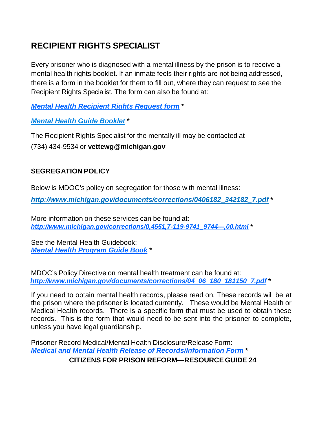## **RECIPIENT RIGHTS SPECIALIST**

Every prisoner who is diagnosed with a mental illness by the prison is to receive a mental health rights booklet. If an inmate feels their rights are not being addressed, there is a form in the booklet for them to fill out, where they can request to see the Recipient Rights Specialist. The form can also be found at:

*[Mental Health Recipient Rights Request form](http://www.micpr.org/uploads/8/9/7/1/8971956/consultation_request_mh_rights_spec_2011.pdf)* **\***

*Mental Health [Guide Booklet](http://www.micpr.org/uploads/8/9/7/1/8971956/2011-12-9_mh_svcs_guidebook.pdf)* \*

The Recipient Rights Specialist for the mentally ill may be contacted at (734) 434-9534 or **[vettewg@michigan.gov](mailto:vettewg@michigan.gov)**

### **SEGREGATION POLICY**

Below is MDOC's policy on segregation for those with mental illness:

*[http://www.michigan.gov/documents/corrections/0406182\\_342182\\_7.pdf](http://www.michigan.gov/documents/corrections/0406182_342182_7.pdf)* **\***

More information on these services can be found at: *[http://www.michigan.gov/corrections/0,4551,7-119-9741\\_9744---,00.html](http://www.michigan.gov/corrections/0%2C4551%2C7-119-9741_9744---%2C00.html)* **\***

See the Mental Health Guidebook: *[Mental Health Program Guide Book](http://www.micpr.org/uploads/8/9/7/1/8971956/mental_health_program_guide.pdf)* **\***

MDOC's Policy Directive on mental health treatment can be found at: *[http://www.michigan.gov/documents/corrections/04\\_06\\_180\\_181150\\_7.pdf](http://www.michigan.gov/documents/corrections/04_06_180_181150_7.pdf)* **\***

If you need to obtain mental health records, please read on. These records will be at the prison where the prisoner is located currently. These would be Mental Health or Medical Health records. There is a specific form that must be used to obtain these records. This is the form that would need to be sent into the prisoner to complete, unless you have legal guardianship.

Prisoner Record Medical/Mental Health Disclosure/Release Form: *[Medical and Mental Health Release of Records/Information Form](http://www.micpr.org/uploads/8/9/7/1/8971956/prisoner_medical_mental_health_release_fix.pdf)* **\* CITIZENS FOR PRISON REFORM—RESOURCE GUIDE 24**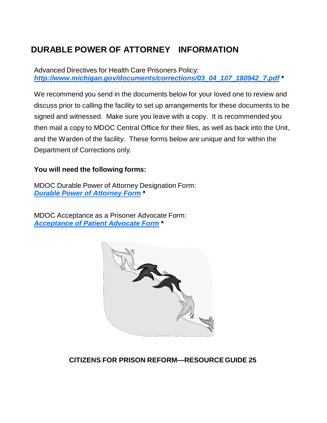## **DURABLE POWER OF ATTORNEY INFORMATION**

Advanced Directives for Health Care Prisoners Policy: *[http://www.michigan.gov/documents/corrections/03\\_04\\_107\\_180942\\_7.pdf](http://www.michigan.gov/documents/corrections/03_04_107_180942_7.pdf)* **\***

We recommend you send in the documents below for your loved one to review and discuss prior to calling the facility to set up arrangements for these documents to be signed and witnessed. Make sure you leave with a copy. It is recommended you then mail a copy to MDOC Central Office for their files, as well as back into the Unit, and the Warden of the facility. These forms below are unique and for within the Department of Corrections only.

### **You will need the following forms:**

MDOC Durable Power of Attorney Designation Form: *[Durable Power of Attorney Form](http://www.micpr.org/uploads/8/9/7/1/8971956/durable_power_of_attorney_1.pdf)* **\***

MDOC Acceptance as a Prisoner Advocate Form: *[Acceptance of Patient Advocate Form](http://www.micpr.org/uploads/8/9/7/1/8971956/acceptance_patient_advocate.pdf)* **\***

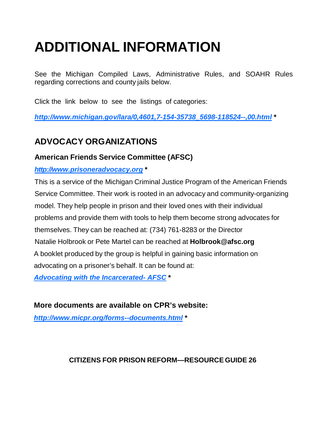## **ADDITIONAL INFORMATION**

See the Michigan Compiled Laws, Administrative Rules, and SOAHR Rules regarding corrections and county jails below.

Click the link below to see the listings of categories:

*[http://www.michigan.gov/lara/0,4601,7-154-35738\\_5698-118524--,00.html](http://www.michigan.gov/lara/0%2C4601%2C7-154-35738_5698-118524--%2C00.html)* **\***

## **ADVOCACY ORGANIZATIONS**

## **American Friends Service Committee (AFSC)**

*http:[//www.prisoneradvocacy.org](http://www.prisoneradvocacy.org/)* **\***

This is a service of the Michigan Criminal Justice Program of the American Friends Service Committee. Their work is rooted in an advocacy and community-organizing model. They help people in prison and their loved ones with their individual problems and provide them with tools to help them become strong advocates for themselves. They can be reached at: (734) 761-8283 or the Director Natalie Holbrook or Pete Martel can be reached at **[Holbrook@afsc.org](mailto:Holbrook@afsc.org)** A booklet produced by the group is helpful in gaining basic information on advocating on a prisoner's behalf. It can be found at: *[Advocating with the Incarcerated-](http://www.micpr.org/uploads/8/9/7/1/8971956/advocating_w_incarcerated_updated_august_20121.pdf) AFSC* **\***

## **More documents are available on CPR's website:**

*<http://www.micpr.org/forms--documents.html>* **\***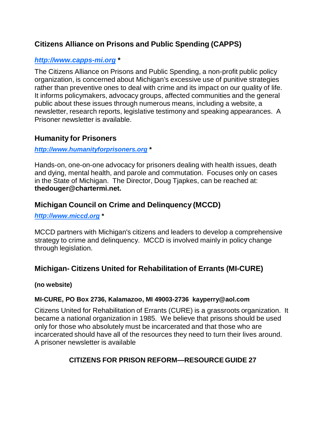## **Citizens Alliance on Prisons and Public Spending (CAPPS)**

### *http:/[/www.capps-mi.org](http://www.capps-mi.org/)* **\***

The Citizens Alliance on Prisons and Public Spending, a non-profit public policy organization, is concerned about Michigan's excessive use of punitive strategies rather than preventive ones to deal with crime and its impact on our quality of life. It informs policymakers, advocacy groups, affected communities and the general public about these issues through numerous means, including a website, a newsletter, research reports, legislative testimony and speaking appearances. A Prisoner newsletter is available.

## **Humanity for Prisoners**

#### *[http://www.humanityforprisoners.org](http://www.humanityforprisoners.org/)* **\***

Hands-on, one-on-one advocacy for prisoners dealing with health issues, death and dying, mental health, and parole and commutation. Focuses only on cases in the State of Michigan. The Director, Doug Tjapkes, can be reached at: **[thedouger@chartermi.net.](mailto:thedouger@chartermi.net)**

## **Michigan Council on Crime and Delinquency (MCCD)**

#### *http:/[/www.miccd.org](http://www.miccd.org/)* **\***

MCCD partners with Michigan's citizens and leaders to develop a comprehensive strategy to crime and delinquency. MCCD is involved mainly in policy change through legislation.

## **Michigan- Citizens United for Rehabilitation of Errants (MI-CURE)**

#### **(no website)**

### **MI-CURE, PO Box 2736, Kalamazoo, MI 49003-2736 [kayperry@aol.com](mailto:kayperry@aol.com)**

Citizens United for Rehabilitation of Errants (CURE) is a grassroots organization. It became a national organization in 1985. We believe that prisons should be used only for those who absolutely must be incarcerated and that those who are incarcerated should have all of the resources they need to turn their lives around. A prisoner newsletter is available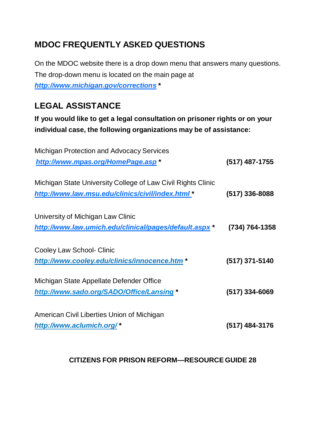## **MDOC FREQUENTLY ASKED QUESTIONS**

On the MDOC website there is a drop down menu that answers many questions. The drop-down menu is located on the main page at *http:/[/www.michigan.gov/corrections](http://www.michigan.gov/corrections)* **\***

## **LEGAL ASSISTANCE**

**If you would like to get a legal consultation on prisoner rights or on your individual case, the following organizations may be of assistance:**

| <b>Michigan Protection and Advocacy Services</b>             |                  |
|--------------------------------------------------------------|------------------|
| http://www.mpas.org/HomePage.asp*                            | (517) 487-1755   |
| Michigan State University College of Law Civil Rights Clinic |                  |
| http://www.law.msu.edu/clinics/civil/index.html*             | $(517)$ 336-8088 |
| University of Michigan Law Clinic                            |                  |
| http://www.law.umich.edu/clinical/pages/default.aspx*        | (734) 764-1358   |
| Cooley Law School- Clinic                                    |                  |
| http://www.cooley.edu/clinics/innocence.htm*                 | (517) 371-5140   |
| Michigan State Appellate Defender Office                     |                  |
| http://www.sado.org/SADO/Office/Lansing *                    | $(517)$ 334-6069 |
| American Civil Liberties Union of Michigan                   |                  |
| http://www.aclumich.org/*                                    | (517) 484-3176   |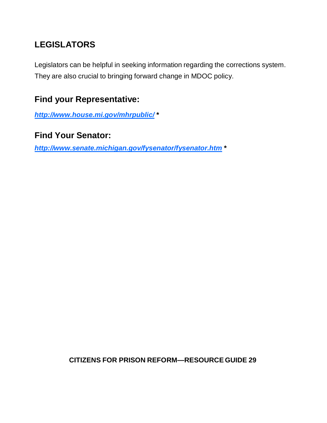## **LEGISLATORS**

Legislators can be helpful in seeking information regarding the corrections system. They are also crucial to bringing forward change in MDOC policy.

## **Find your Representative:**

*<http://www.house.mi.gov/mhrpublic/>* **\***

## **Find Your Senator:**

*<http://www.senate.michigan.gov/fysenator/fysenator.htm>* **\***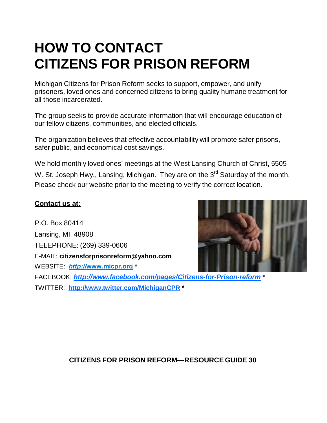## **HOW TO CONTACT CITIZENS FOR PRISON REFORM**

Michigan Citizens for Prison Reform seeks to support, empower, and unify prisoners, loved ones and concerned citizens to bring quality humane treatment for all those incarcerated.

The group seeks to provide accurate information that will encourage education of our fellow citizens, communities, and elected officials.

The organization believes that effective accountability will promote safer prisons, safer public, and economical cost savings.

We hold monthly loved ones' meetings at the West Lansing Church of Christ, 5505 W. St. Joseph Hwy., Lansing, Michigan. They are on the 3<sup>rd</sup> Saturday of the month. Please check our website prior to the meeting to verify the correct location.

### **Contact us at:**

P.O. Box 80414 Lansing, MI 48908 TELEPHONE: (269) 339-0606 E-MAIL: **[citizensforprisonreform@yahoo.com](mailto:citizensforprisonreform@yahoo.com)** WEBSITE: *http://***[www.micpr.org](http://www.micpr.org/) \*** [FACE](http://www.micpr.org/)BOOK: *<http://www.facebook.com/pages/Citizens-for-Prison-reform>* **\*** TWITTER: **<http://www.twitter.com/MichiganCPR> \***

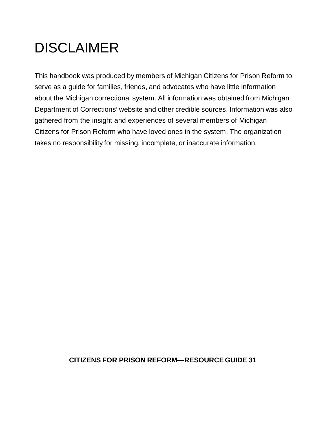## DISCLAIMER

This handbook was produced by members of Michigan Citizens for Prison Reform to serve as a guide for families, friends, and advocates who have little information about the Michigan correctional system. All information was obtained from Michigan Department of Corrections' website and other credible sources. Information was also gathered from the insight and experiences of several members of Michigan Citizens for Prison Reform who have loved ones in the system. The organization takes no responsibility for missing, incomplete, or inaccurate information.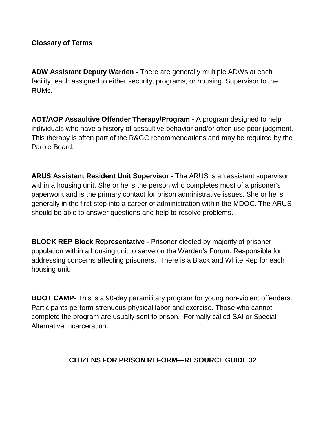#### **Glossary of Terms**

**ADW Assistant Deputy Warden -** There are generally multiple ADWs at each facility, each assigned to either security, programs, or housing. Supervisor to the RUMs.

**AOT/AOP Assaultive Offender Therapy/Program -** A program designed to help individuals who have a history of assaultive behavior and/or often use poor judgment. This therapy is often part of the R&GC recommendations and may be required by the Parole Board.

**ARUS Assistant Resident Unit Supervisor** - The ARUS is an assistant supervisor within a housing unit. She or he is the person who completes most of a prisoner's paperwork and is the primary contact for prison administrative issues. She or he is generally in the first step into a career of administration within the MDOC. The ARUS should be able to answer questions and help to resolve problems.

**BLOCK REP Block Representative** - Prisoner elected by majority of prisoner population within a housing unit to serve on the Warden's Forum. Responsible for addressing concerns affecting prisoners. There is a Black and White Rep for each housing unit.

**BOOT CAMP-** This is a 90-day paramilitary program for young non-violent offenders. Participants perform strenuous physical labor and exercise. Those who cannot complete the program are usually sent to prison. Formally called SAI or Special Alternative Incarceration.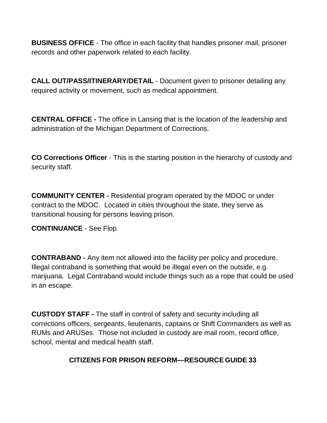**BUSINESS OFFICE** - The office in each facility that handles prisoner mail, prisoner records and other paperwork related to each facility.

**CALL OUT/PASS/ITINERARY/DETAIL** - Document given to prisoner detailing any required activity or movement, such as medical appointment.

**CENTRAL OFFICE -** The office in Lansing that is the location of the leadership and administration of the Michigan Department of Corrections.

**CO Corrections Officer** - This is the starting position in the hierarchy of custody and security staff.

**COMMUNITY CENTER -** Residential program operated by the MDOC or under contract to the MDOC. Located in cities throughout the state, they serve as transitional housing for persons leaving prison.

**CONTINUANCE** - See Flop.

**CONTRABAND -** Any item not allowed into the facility per policy and procedure. Illegal contraband is something that would be illegal even on the outside, e.g. marijuana. Legal Contraband would include things such as a rope that could be used in an escape.

**CUSTODY STAFF -** The staff in control of safety and security including all corrections officers, sergeants, lieutenants, captains or Shift Commanders as well as RUMs and ARUSes. Those not included in custody are mail room, record office, school, mental and medical health staff.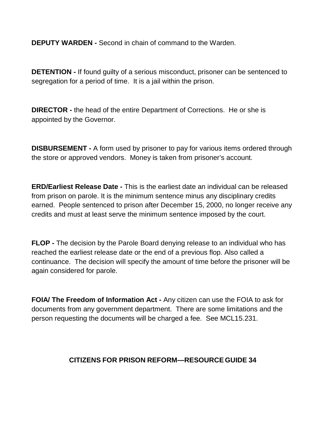**DEPUTY WARDEN -** Second in chain of command to the Warden.

**DETENTION -** If found guilty of a serious misconduct, prisoner can be sentenced to segregation for a period of time. It is a jail within the prison.

**DIRECTOR -** the head of the entire Department of Corrections. He or she is appointed by the Governor.

**DISBURSEMENT -** A form used by prisoner to pay for various items ordered through the store or approved vendors. Money is taken from prisoner's account.

**ERD/Earliest Release Date -** This is the earliest date an individual can be released from prison on parole. It is the minimum sentence minus any disciplinary credits earned. People sentenced to prison after December 15, 2000, no longer receive any credits and must at least serve the minimum sentence imposed by the court.

**FLOP -** The decision by the Parole Board denying release to an individual who has reached the earliest release date or the end of a previous flop. Also called a continuance. The decision will specify the amount of time before the prisoner will be again considered for parole.

**FOIA/ The Freedom of Information Act -** Any citizen can use the FOIA to ask for documents from any government department. There are some limitations and the person requesting the documents will be charged a fee. See MCL15.231.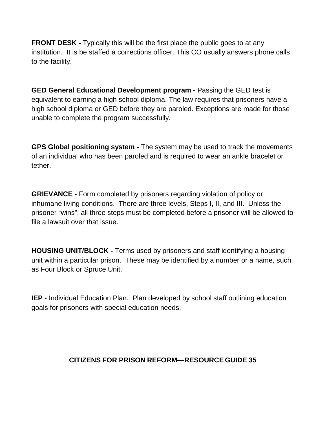**FRONT DESK -** Typically this will be the first place the public goes to at any institution. It is be staffed a corrections officer. This CO usually answers phone calls to the facility.

**GED General Educational Development program -** Passing the GED test is equivalent to earning a high school diploma. The law requires that prisoners have a high school diploma or GED before they are paroled. Exceptions are made for those unable to complete the program successfully.

**GPS Global positioning system -** The system may be used to track the movements of an individual who has been paroled and is required to wear an ankle bracelet or tether.

**GRIEVANCE -** Form completed by prisoners regarding violation of policy or inhumane living conditions. There are three levels, Steps I, II, and III. Unless the prisoner "wins", all three steps must be completed before a prisoner will be allowed to file a lawsuit over that issue.

**HOUSING UNIT/BLOCK -** Terms used by prisoners and staff identifying a housing unit within a particular prison. These may be identified by a number or a name, such as Four Block or Spruce Unit.

**IEP -** Individual Education Plan. Plan developed by school staff outlining education goals for prisoners with special education needs.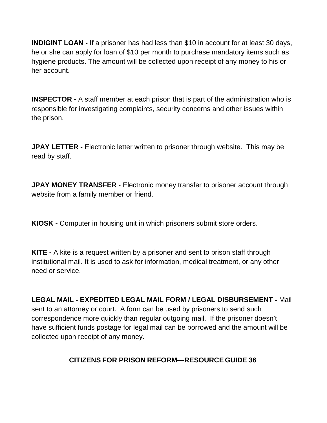**INDIGINT LOAN -** If a prisoner has had less than \$10 in account for at least 30 days, he or she can apply for loan of \$10 per month to purchase mandatory items such as hygiene products. The amount will be collected upon receipt of any money to his or her account.

**INSPECTOR -** A staff member at each prison that is part of the administration who is responsible for investigating complaints, security concerns and other issues within the prison.

**JPAY LETTER -** Electronic letter written to prisoner through website. This may be read by staff.

**JPAY MONEY TRANSFER** - Electronic money transfer to prisoner account through website from a family member or friend.

**KIOSK -** Computer in housing unit in which prisoners submit store orders.

**KITE -** A kite is a request written by a prisoner and sent to prison staff through institutional mail. It is used to ask for information, medical treatment, or any other need or service.

**LEGAL MAIL - EXPEDITED LEGAL MAIL FORM / LEGAL DISBURSEMENT -** Mail sent to an attorney or court. A form can be used by prisoners to send such correspondence more quickly than regular outgoing mail. If the prisoner doesn't have sufficient funds postage for legal mail can be borrowed and the amount will be collected upon receipt of any money.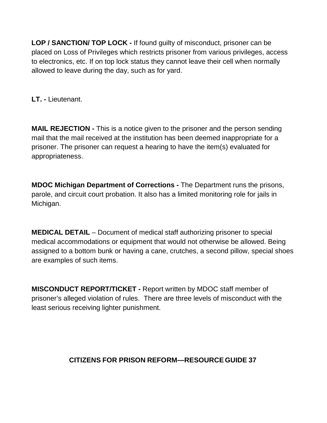**LOP / SANCTION/ TOP LOCK -** If found guilty of misconduct, prisoner can be placed on Loss of Privileges which restricts prisoner from various privileges, access to electronics, etc. If on top lock status they cannot leave their cell when normally allowed to leave during the day, such as for yard.

**LT. -** Lieutenant.

**MAIL REJECTION -** This is a notice given to the prisoner and the person sending mail that the mail received at the institution has been deemed inappropriate for a prisoner. The prisoner can request a hearing to have the item(s) evaluated for appropriateness.

**MDOC Michigan Department of Corrections -** The Department runs the prisons, parole, and circuit court probation. It also has a limited monitoring role for jails in Michigan.

**MEDICAL DETAIL** – Document of medical staff authorizing prisoner to special medical accommodations or equipment that would not otherwise be allowed. Being assigned to a bottom bunk or having a cane, crutches, a second pillow, special shoes are examples of such items.

**MISCONDUCT REPORT/TICKET -** Report written by MDOC staff member of prisoner's alleged violation of rules. There are three levels of misconduct with the least serious receiving lighter punishment.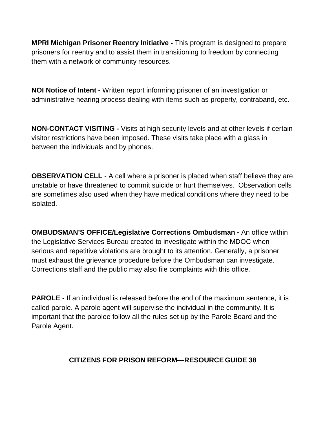**MPRI Michigan Prisoner Reentry Initiative -** This program is designed to prepare prisoners for reentry and to assist them in transitioning to freedom by connecting them with a network of community resources.

**NOI Notice of Intent -** Written report informing prisoner of an investigation or administrative hearing process dealing with items such as property, contraband, etc.

**NON-CONTACT VISITING -** Visits at high security levels and at other levels if certain visitor restrictions have been imposed. These visits take place with a glass in between the individuals and by phones.

**OBSERVATION CELL** - A cell where a prisoner is placed when staff believe they are unstable or have threatened to commit suicide or hurt themselves. Observation cells are sometimes also used when they have medical conditions where they need to be isolated.

**OMBUDSMAN'S OFFICE/Legislative Corrections Ombudsman -** An office within the Legislative Services Bureau created to investigate within the MDOC when serious and repetitive violations are brought to its attention. Generally, a prisoner must exhaust the grievance procedure before the Ombudsman can investigate. Corrections staff and the public may also file complaints with this office.

**PAROLE -** If an individual is released before the end of the maximum sentence, it is called parole. A parole agent will supervise the individual in the community. It is important that the parolee follow all the rules set up by the Parole Board and the Parole Agent.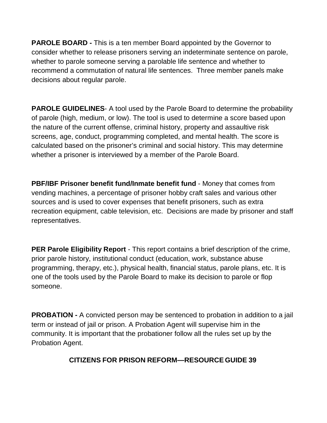**PAROLE BOARD -** This is a ten member Board appointed by the Governor to consider whether to release prisoners serving an indeterminate sentence on parole, whether to parole someone serving a parolable life sentence and whether to recommend a commutation of natural life sentences. Three member panels make decisions about regular parole.

**PAROLE GUIDELINES-** A tool used by the Parole Board to determine the probability of parole (high, medium, or low). The tool is used to determine a score based upon the nature of the current offense, criminal history, property and assaultive risk screens, age, conduct, programming completed, and mental health. The score is calculated based on the prisoner's criminal and social history. This may determine whether a prisoner is interviewed by a member of the Parole Board.

**PBF/IBF Prisoner benefit fund/Inmate benefit fund** - Money that comes from vending machines, a percentage of prisoner hobby craft sales and various other sources and is used to cover expenses that benefit prisoners, such as extra recreation equipment, cable television, etc. Decisions are made by prisoner and staff representatives.

**PER Parole Eligibility Report** - This report contains a brief description of the crime, prior parole history, institutional conduct (education, work, substance abuse programming, therapy, etc.), physical health, financial status, parole plans, etc. It is one of the tools used by the Parole Board to make its decision to parole or flop someone.

**PROBATION -** A convicted person may be sentenced to probation in addition to a jail term or instead of jail or prison. A Probation Agent will supervise him in the community. It is important that the probationer follow all the rules set up by the Probation Agent.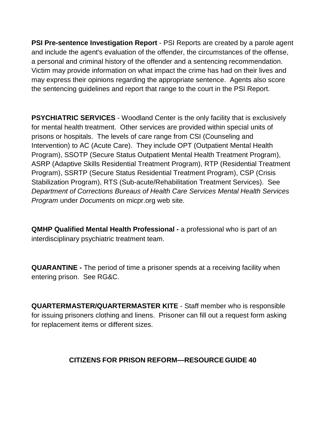**PSI Pre-sentence Investigation Report** - PSI Reports are created by a parole agent and include the agent's evaluation of the offender, the circumstances of the offense, a personal and criminal history of the offender and a sentencing recommendation. Victim may provide information on what impact the crime has had on their lives and may express their opinions regarding the appropriate sentence. Agents also score the sentencing guidelines and report that range to the court in the PSI Report.

**PSYCHIATRIC SERVICES** - Woodland Center is the only facility that is exclusively for mental health treatment. Other services are provided within special units of prisons or hospitals. The levels of care range from CSI (Counseling and Intervention) to AC (Acute Care). They include OPT (Outpatient Mental Health Program), SSOTP (Secure Status Outpatient Mental Health Treatment Program), ASRP (Adaptive Skills Residential Treatment Program), RTP (Residential Treatment Program), SSRTP (Secure Status Residential Treatment Program), CSP (Crisis Stabilization Program), RTS (Sub-acute/Rehabilitation Treatment Services). See *Department of Corrections Bureaus of Health Care Services Mental Health Services Program* under *Documents* on micpr.org web site.

**QMHP Qualified Mental Health Professional -** a professional who is part of an interdisciplinary psychiatric treatment team.

**QUARANTINE -** The period of time a prisoner spends at a receiving facility when entering prison. See RG&C.

**QUARTERMASTER/QUARTERMASTER KITE** - Staff member who is responsible for issuing prisoners clothing and linens. Prisoner can fill out a request form asking for replacement items or different sizes.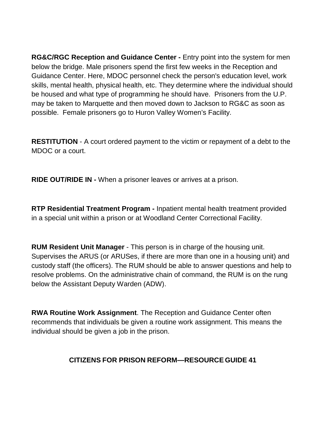**RG&C/RGC Reception and Guidance Center -** Entry point into the system for men below the bridge. Male prisoners spend the first few weeks in the Reception and Guidance Center. Here, MDOC personnel check the person's education level, work skills, mental health, physical health, etc. They determine where the individual should be housed and what type of programming he should have. Prisoners from the U.P. may be taken to Marquette and then moved down to Jackson to RG&C as soon as possible. Female prisoners go to Huron Valley Women's Facility.

**RESTITUTION** - A court ordered payment to the victim or repayment of a debt to the MDOC or a court.

**RIDE OUT/RIDE IN -** When a prisoner leaves or arrives at a prison.

**RTP Residential Treatment Program -** Inpatient mental health treatment provided in a special unit within a prison or at Woodland Center Correctional Facility.

**RUM Resident Unit Manager** - This person is in charge of the housing unit. Supervises the ARUS (or ARUSes, if there are more than one in a housing unit) and custody staff (the officers). The RUM should be able to answer questions and help to resolve problems. On the administrative chain of command, the RUM is on the rung below the Assistant Deputy Warden (ADW).

**RWA Routine Work Assignment**. The Reception and Guidance Center often recommends that individuals be given a routine work assignment. This means the individual should be given a job in the prison.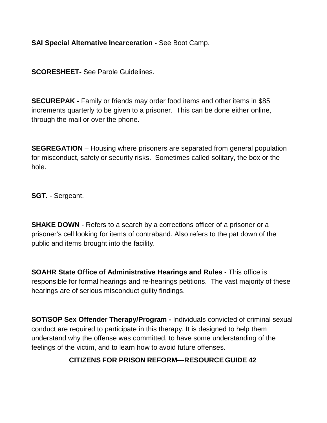**SAI Special Alternative Incarceration -** See Boot Camp.

**SCORESHEET-** See Parole Guidelines.

**SECUREPAK -** Family or friends may order food items and other items in \$85 increments quarterly to be given to a prisoner. This can be done either online, through the mail or over the phone.

**SEGREGATION** – Housing where prisoners are separated from general population for misconduct, safety or security risks. Sometimes called solitary, the box or the hole.

**SGT.** - Sergeant.

**SHAKE DOWN** - Refers to a search by a corrections officer of a prisoner or a prisoner's cell looking for items of contraband. Also refers to the pat down of the public and items brought into the facility.

**SOAHR State Office of Administrative Hearings and Rules -** This office is responsible for formal hearings and re-hearings petitions. The vast majority of these hearings are of serious misconduct guilty findings.

**SOT/SOP Sex Offender Therapy/Program -** Individuals convicted of criminal sexual conduct are required to participate in this therapy. It is designed to help them understand why the offense was committed, to have some understanding of the feelings of the victim, and to learn how to avoid future offenses.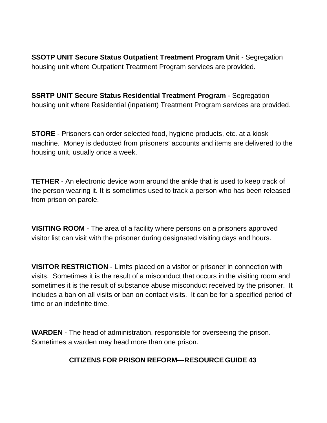**SSOTP UNIT Secure Status Outpatient Treatment Program Unit** - Segregation housing unit where Outpatient Treatment Program services are provided.

**SSRTP UNIT Secure Status Residential Treatment Program** - Segregation housing unit where Residential (inpatient) Treatment Program services are provided.

**STORE** - Prisoners can order selected food, hygiene products, etc. at a kiosk machine. Money is deducted from prisoners' accounts and items are delivered to the housing unit, usually once a week.

**TETHER** - An electronic device worn around the ankle that is used to keep track of the person wearing it. It is sometimes used to track a person who has been released from prison on parole.

**VISITING ROOM** - The area of a facility where persons on a prisoners approved visitor list can visit with the prisoner during designated visiting days and hours.

**VISITOR RESTRICTION** - Limits placed on a visitor or prisoner in connection with visits. Sometimes it is the result of a misconduct that occurs in the visiting room and sometimes it is the result of substance abuse misconduct received by the prisoner. It includes a ban on all visits or ban on contact visits. It can be for a specified period of time or an indefinite time.

**WARDEN** - The head of administration, responsible for overseeing the prison. Sometimes a warden may head more than one prison.